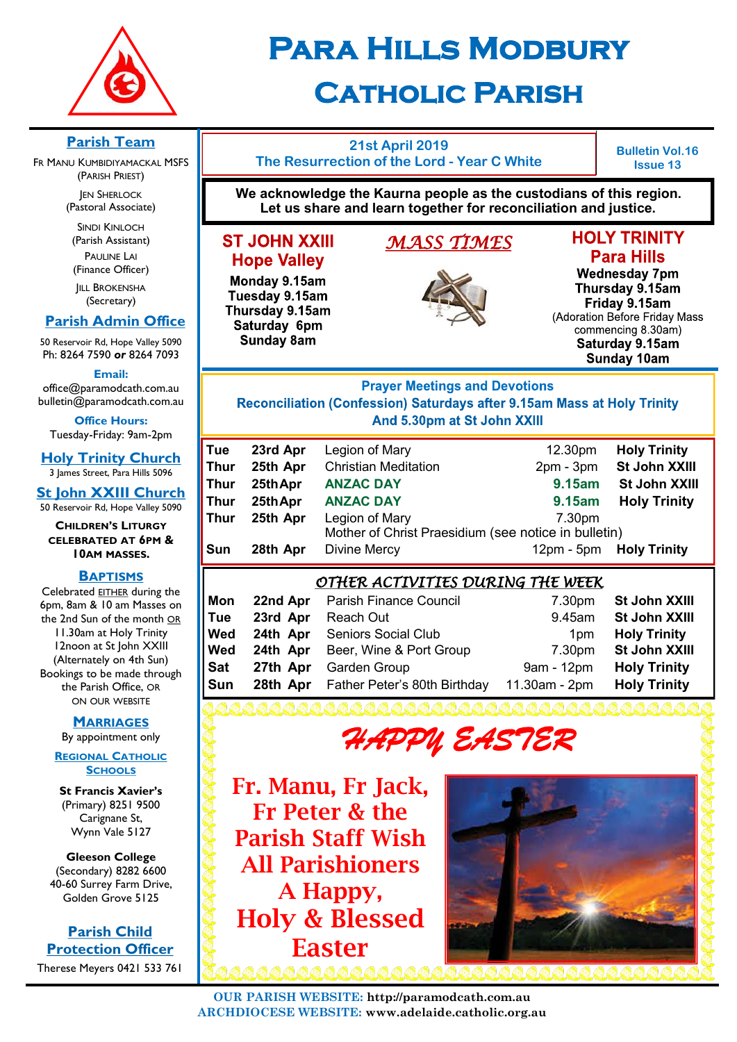

# **Para Hills Modbury Catholic Parish**

## **Parish Team**

FR MANU KUMBIDIYAMACKAL MSFS (PARISH PRIEST)

> **JEN SHERLOCK** (Pastoral Associate)

SINDI KINLOCH (Parish Assistant) PAULINE LAI (Finance Officer)

**IILL BROKENSHA** (Secretary)

## **Parish Admin Office**

50 Reservoir Rd, Hope Valley 5090 Ph: 8264 7590 *or* 8264 7093

**Email:** 

office@paramodcath.com.au bulletin@paramodcath.com.au

**Office Hours:**  Tuesday-Friday: 9am-2pm

**Holy Trinity Church** 3 James Street, Para Hills 5096

**St John XXIII Church** 50 Reservoir Rd, Hope Valley 5090

#### **CHILDREN'S LITURGY CELEBRATED AT 6PM & 10AM MASSES.**

#### **BAPTISMS**

Celebrated EITHER during the 6pm, 8am & 10 am Masses on the 2nd Sun of the month OR 11.30am at Holy Trinity 12noon at St John XXIII (Alternately on 4th Sun) Bookings to be made through the Parish Office, OR ON OUR WEBSITE

#### **MARRIAGES**

By appointment only

#### **REGIONAL CATHOLIC SCHOOLS**

**St Francis Xavier's**  (Primary) 8251 9500 Carignane St, Wynn Vale 5127

**Gleeson College**  (Secondary) 8282 6600 40-60 Surrey Farm Drive, Golden Grove 5125

**Parish Child Protection Officer** Therese Meyers 0421 533 761

## **21st April 2019 The Resurrection of the Lord - Year C White**

**Bulletin Vol.16 Issue 13**

**We acknowledge the Kaurna people as the custodians of this region. Let us share and learn together for reconciliation and justice.**

*MASS TIMES* 

## **ST JOHN XXIII Hope Valley**

Monday 9.15am Tuesday 9.15am Thursday 9.15am Saturday 6pm **Sunday 8am** 

## **HOLY TRINITY Para Hills**

**Wednesday 7pm** Thursday 9.15am Friday 9.15am (Adoration Before Friday Mass commencing 8.30am) Saturday 9.15am Sunday 10am

## **Prayer Meetings and Devotions** Reconciliation (Confession) Saturdays after 9.15am Mass at Holy Trinity And 5.30pm at St John XXIII

| <b>Holy Trinity</b>                                  |  |  |  |
|------------------------------------------------------|--|--|--|
| St John XXIII                                        |  |  |  |
| St John XXIII                                        |  |  |  |
| <b>Holy Trinity</b>                                  |  |  |  |
|                                                      |  |  |  |
| Mother of Christ Praesidium (see notice in bulletin) |  |  |  |
| <b>Holy Trinity</b>                                  |  |  |  |
|                                                      |  |  |  |

## *OTHER ACTIVITIES DURING THE WEEK*

| St John XXIII |
|---------------|
| St John XXIII |
|               |
| St John XXIII |
|               |
|               |
|               |

*HAPPY EASTER*

Fr. Manu, Fr Jack, Fr Peter & the Parish Staff Wish All Parishioners A Happy, Holy & Blessed Easter

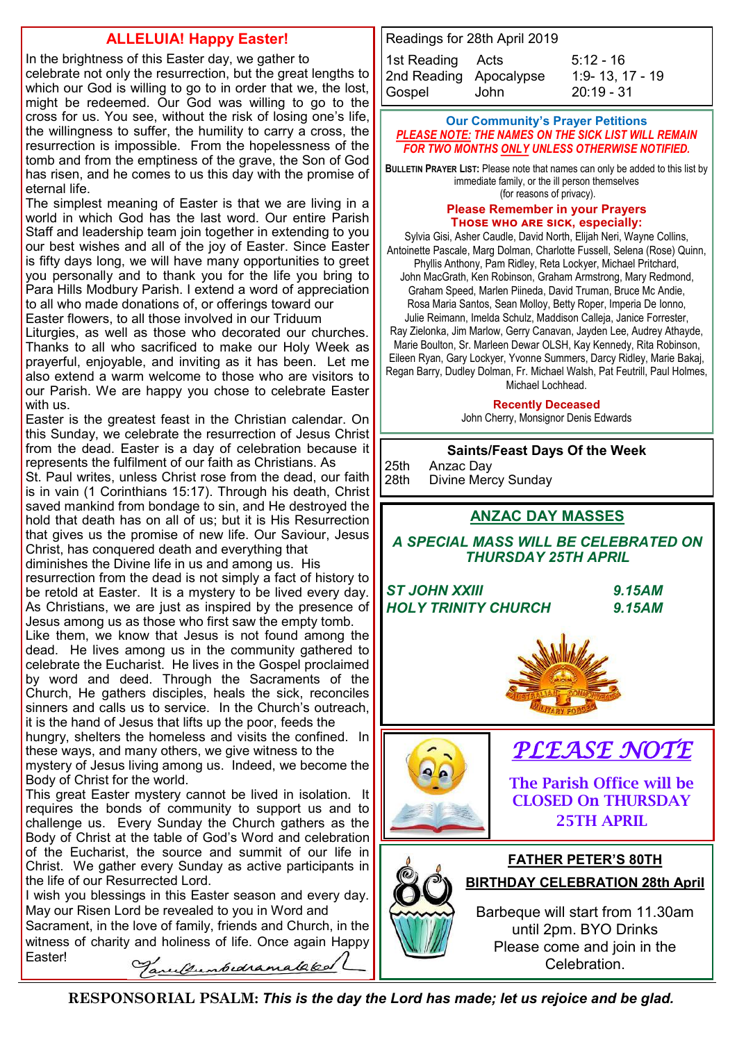## **ALLELUIA! Happy Easter!**

In the brightness of this Easter day, we gather to celebrate not only the resurrection, but the great lengths to which our God is willing to go to in order that we, the lost, might be redeemed. Our God was willing to go to the cross for us. You see, without the risk of losing one's life, the willingness to suffer, the humility to carry a cross, the resurrection is impossible. From the hopelessness of the tomb and from the emptiness of the grave, the Son of God has risen, and he comes to us this day with the promise of eternal life.

The simplest meaning of Easter is that we are living in a world in which God has the last word. Our entire Parish Staff and leadership team join together in extending to you our best wishes and all of the joy of Easter. Since Easter is fifty days long, we will have many opportunities to greet you personally and to thank you for the life you bring to Para Hills Modbury Parish. I extend a word of appreciation to all who made donations of, or offerings toward our Easter flowers, to all those involved in our Triduum

Liturgies, as well as those who decorated our churches. Thanks to all who sacrificed to make our Holy Week as prayerful, enjoyable, and inviting as it has been. Let me also extend a warm welcome to those who are visitors to our Parish. We are happy you chose to celebrate Easter with us.

Easter is the greatest feast in the Christian calendar. On this Sunday, we celebrate the resurrection of Jesus Christ from the dead. Easter is a day of celebration because it represents the fulfilment of our faith as Christians. As St. Paul writes, unless Christ rose from the dead, our faith is in vain (1 Corinthians 15:17). Through his death, Christ saved mankind from bondage to sin, and He destroyed the hold that death has on all of us; but it is His Resurrection that gives us the promise of new life. Our Saviour, Jesus Christ, has conquered death and everything that

diminishes the Divine life in us and among us. His resurrection from the dead is not simply a fact of history to be retold at Easter. It is a mystery to be lived every day. As Christians, we are just as inspired by the presence of Jesus among us as those who first saw the empty tomb.

Like them, we know that Jesus is not found among the dead. He lives among us in the community gathered to celebrate the Eucharist. He lives in the Gospel proclaimed by word and deed. Through the Sacraments of the Church, He gathers disciples, heals the sick, reconciles sinners and calls us to service. In the Church's outreach, it is the hand of Jesus that lifts up the poor, feeds the hungry, shelters the homeless and visits the confined. In these ways, and many others, we give witness to the mystery of Jesus living among us. Indeed, we become the Body of Christ for the world.

This great Easter mystery cannot be lived in isolation. It requires the bonds of community to support us and to challenge us. Every Sunday the Church gathers as the Body of Christ at the table of God's Word and celebration of the Eucharist, the source and summit of our life in Christ. We gather every Sunday as active participants in the life of our Resurrected Lord.

I wish you blessings in this Easter season and every day. May our Risen Lord be revealed to you in Word and

Sacrament, in the love of family, friends and Church, in the witness of charity and holiness of life. Once again Happy Easter! Tarultumbedramakka

```
Readings for 28th April 2019
1st Reading Acts 5:12 - 16
2nd Reading Apocalypse 1:9- 13, 17 - 19
Gospel John 20:19 - 31
```
#### **Our Community's Prayer Petitions**  *PLEASE NOTE: THE NAMES ON THE SICK LIST WILL REMAIN FOR TWO MONTHS ONLY UNLESS OTHERWISE NOTIFIED.*

**BULLETIN PRAYER LIST:** Please note that names can only be added to this list by immediate family, or the ill person themselves (for reasons of privacy).

#### **Please Remember in your Prayers Those who are sick, especially:**

Sylvia Gisi, Asher Caudle, David North, Elijah Neri, Wayne Collins, Antoinette Pascale, Marg Dolman, Charlotte Fussell, Selena (Rose) Quinn, Phyllis Anthony, Pam Ridley, Reta Lockyer, Michael Pritchard, John MacGrath, Ken Robinson, Graham Armstrong, Mary Redmond, Graham Speed, Marlen Piineda, David Truman, Bruce Mc Andie, Rosa Maria Santos, Sean Molloy, Betty Roper, Imperia De Ionno, Julie Reimann, Imelda Schulz, Maddison Calleja, Janice Forrester, Ray Zielonka, Jim Marlow, Gerry Canavan, Jayden Lee, Audrey Athayde, Marie Boulton, Sr. Marleen Dewar OLSH, Kay Kennedy, Rita Robinson, Eileen Ryan, Gary Lockyer, Yvonne Summers, Darcy Ridley, Marie Bakaj, Regan Barry, Dudley Dolman, Fr. Michael Walsh, Pat Feutrill, Paul Holmes, Michael Lochhead.

#### **Recently Deceased**

John Cherry, Monsignor Denis Edwards

#### **Saints/Feast Days Of the Week**

25th Anzac Day<br>28th Divine Mero Divine Mercy Sunday

## **ANZAC DAY MASSES**

*A SPECIAL MASS WILL BE CELEBRATED ON THURSDAY 25TH APRIL* 

*ST JOHN XXIII 9.15AM HOLY TRINITY CHURCH 9.15AM*





*PLEASE NOTE* 

The Parish Office will be CLOSED On THURSDAY 25TH APRIL

## **FATHER PETER'S 80TH BIRTHDAY CELEBRATION 28th April**

Barbeque will start from 11.30am until 2pm. BYO Drinks Please come and join in the Celebration.

**RESPONSORIAL PSALM:** *This is the day the Lord has made; let us rejoice and be glad.*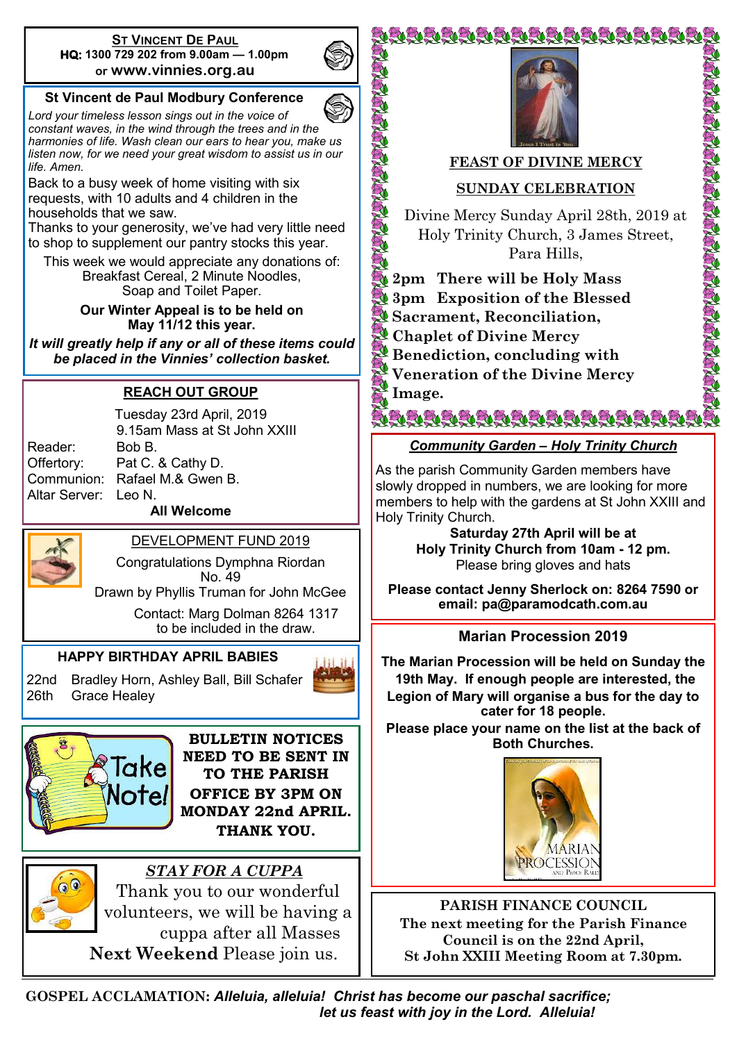#### **ST VINCENT DE PAUL HQ: 1300 729 202 from 9.00am — 1.00pm or www.vinnies.org.au**

## **St Vincent de Paul Modbury Conference**

*Lord your timeless lesson sings out in the voice of constant waves, in the wind through the trees and in the harmonies of life. Wash clean our ears to hear you, make us listen now, for we need your great wisdom to assist us in our life. Amen.*

Back to a busy week of home visiting with six requests, with 10 adults and 4 children in the households that we saw.

Thanks to your generosity, we've had very little need to shop to supplement our pantry stocks this year.

This week we would appreciate any donations of: Breakfast Cereal, 2 Minute Noodles, Soap and Toilet Paper.

#### **Our Winter Appeal is to be held on May 11/12 this year.**

*It will greatly help if any or all of these items could be placed in the Vinnies' collection basket.* 

## **REACH OUT GROUP**

Reader: Bob B. Altar Server: Leo N.

Tuesday 23rd April, 2019 9.15am Mass at St John XXIII Offertory: Pat C. & Cathy D. Communion: Rafael M.& Gwen B.

**All Welcome**



DEVELOPMENT FUND 2019 Congratulations Dymphna Riordan

No. 49

Drawn by Phyllis Truman for John McGee

Contact: Marg Dolman 8264 1317 to be included in the draw.

## **HAPPY BIRTHDAY APRIL BABIES**

22nd Bradley Horn, Ashley Ball, Bill Schafer 26th Grace Healey



**BULLETIN NOTICES NEED TO BE SENT IN TO THE PARISH OFFICE BY 3PM ON MONDAY 22nd APRIL. THANK YOU.**



 *STAY FOR A CUPPA* Thank you to our wonderful volunteers, we will be having a cuppa after all Masses **Next Weekend** Please join us.



VEVEVEVEVEVEVEVEVEVEVEVEVEVEVEV

## **FEAST OF DIVINE MERCY**

20

Control of the

E. Ž0

## **SUNDAY CELEBRATION**

Divine Mercy Sunday April 28th, 2019 at Holy Trinity Church, 3 James Street, Para Hills,

**CONSTRUCTION** 

**2pm There will be Holy Mass 3pm Exposition of the Blessed Sacrament, Reconciliation, Chaplet of Divine Mercy Benediction, concluding with Veneration of the Divine Mercy Image.**

*Community Garden – Holy Trinity Church*

ZJZJZJEJZJEJEJEJEJEJEJEJEJEJEJEJEJEJ

As the parish Community Garden members have slowly dropped in numbers, we are looking for more members to help with the gardens at St John XXIII and Holy Trinity Church.

> **Saturday 27th April will be at Holy Trinity Church from 10am - 12 pm.** Please bring gloves and hats

**Please contact Jenny Sherlock on: 8264 7590 or email: pa@paramodcath.com.au**

## **Marian Procession 2019**

**The Marian Procession will be held on Sunday the 19th May. If enough people are interested, the Legion of Mary will organise a bus for the day to cater for 18 people.**

**Please place your name on the list at the back of Both Churches.** 



**PARISH FINANCE COUNCIL The next meeting for the Parish Finance Council is on the 22nd April, St John XXIII Meeting Room at 7.30pm.**

**GOSPEL ACCLAMATION:** *Alleluia, alleluia! Christ has become our paschal sacrifice; let us feast with joy in the Lord. Alleluia!*